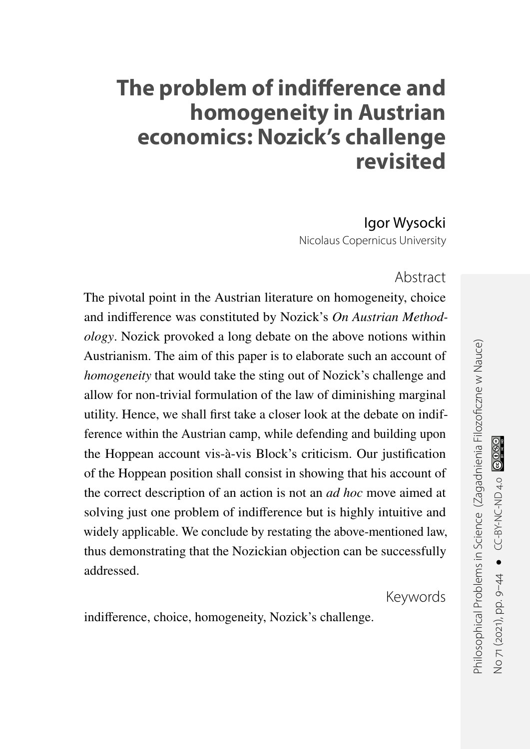# **The problem of indifference and homogeneity in Austrian economics: Nozick's challenge revisited**

#### Igor Wysocki

Nicolaus Copernicus University

#### Abstract

The pivotal point in the Austrian literature on homogeneity, choice and indifference was constituted by Nozick's *On Austrian Methodology*. Nozick provoked a long debate on the above notions within Austrianism. The aim of this paper is to elaborate such an account of *homogeneity* that would take the sting out of Nozick's challenge and allow for non-trivial formulation of the law of diminishing marginal utility. Hence, we shall first take a closer look at the debate on indifference within the Austrian camp, while defending and building upon the Hoppean account vis-à-vis Block's criticism. Our justification of the Hoppean position shall consist in showing that his account of the correct description of an action is not an *ad hoc* move aimed at solving just one problem of indifference but is highly intuitive and widely applicable. We conclude by restating the above-mentioned law, thus demonstrating that the Nozickian objection can be successfully addressed.

Keywords

indifference, choice, homogeneity, Nozick's challenge.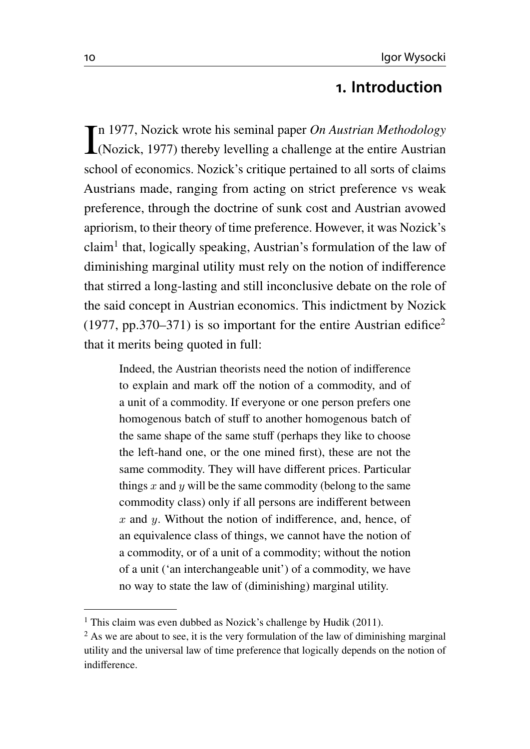## **1. Introduction**

 $\prod$ n 1977, Nozick wrote his seminal paper *On Austrian Methodology* (Nozick, [1977\)](#page-35-0) thereby levelling a challenge at the entire Austrian n 1977, Nozick wrote his seminal paper *On Austrian Methodology* school of economics. Nozick's critique pertained to all sorts of claims Austrians made, ranging from acting on strict preference vs weak preference, through the doctrine of sunk cost and Austrian avowed apriorism, to their theory of time preference. However, it was Nozick's claim<sup>[1](#page-1-0)</sup> that, logically speaking, Austrian's formulation of the law of diminishing marginal utility must rely on the notion of indifference that stirred a long-lasting and still inconclusive debate on the role of the said concept in Austrian economics. This indictment by Nozick [\(1977,](#page-35-0) pp. 370–371) is so important for the entire Austrian edifice<sup>[2](#page-1-1)</sup> that it merits being quoted in full:

Indeed, the Austrian theorists need the notion of indifference to explain and mark off the notion of a commodity, and of a unit of a commodity. If everyone or one person prefers one homogenous batch of stuff to another homogenous batch of the same shape of the same stuff (perhaps they like to choose the left-hand one, or the one mined first), these are not the same commodity. They will have different prices. Particular things  $x$  and  $y$  will be the same commodity (belong to the same commodity class) only if all persons are indifferent between  $x$  and  $y$ . Without the notion of indifference, and, hence, of an equivalence class of things, we cannot have the notion of a commodity, or of a unit of a commodity; without the notion of a unit ('an interchangeable unit') of a commodity, we have no way to state the law of (diminishing) marginal utility.

<span id="page-1-0"></span><sup>&</sup>lt;sup>1</sup> This claim was even dubbed as Nozick's challenge by Hudik [\(2011\)](#page-35-1).

<span id="page-1-1"></span> $2$  As we are about to see, it is the very formulation of the law of diminishing marginal utility and the universal law of time preference that logically depends on the notion of indifference.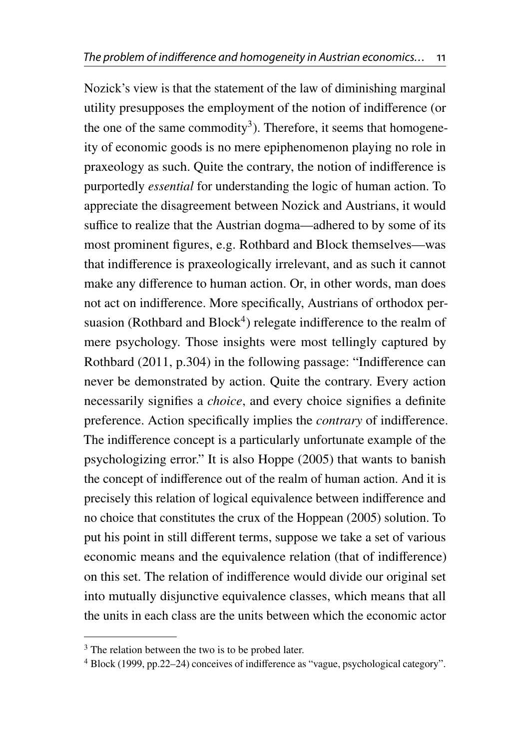Nozick's view is that the statement of the law of diminishing marginal utility presupposes the employment of the notion of indifference (or the one of the same commodity<sup>[3](#page-2-0)</sup>). Therefore, it seems that homogeneity of economic goods is no mere epiphenomenon playing no role in praxeology as such. Quite the contrary, the notion of indifference is purportedly *essential* for understanding the logic of human action. To appreciate the disagreement between Nozick and Austrians, it would suffice to realize that the Austrian dogma—adhered to by some of its most prominent figures, e.g. Rothbard and Block themselves—was that indifference is praxeologically irrelevant, and as such it cannot make any difference to human action. Or, in other words, man does not act on indifference. More specifically, Austrians of orthodox persuasion (Rothbard and  $Block<sup>4</sup>$  $Block<sup>4</sup>$  $Block<sup>4</sup>$ ) relegate indifference to the realm of mere psychology. Those insights were most tellingly captured by Rothbard [\(2011,](#page-35-2) p.304) in the following passage: "Indifference can never be demonstrated by action. Quite the contrary. Every action necessarily signifies a *choice*, and every choice signifies a definite preference. Action specifically implies the *contrary* of indifference. The indifference concept is a particularly unfortunate example of the psychologizing error." It is also Hoppe [\(2005\)](#page-35-3) that wants to banish the concept of indifference out of the realm of human action. And it is precisely this relation of logical equivalence between indifference and no choice that constitutes the crux of the Hoppean [\(2005\)](#page-35-3) solution. To put his point in still different terms, suppose we take a set of various economic means and the equivalence relation (that of indifference) on this set. The relation of indifference would divide our original set into mutually disjunctive equivalence classes, which means that all the units in each class are the units between which the economic actor

<span id="page-2-0"></span><sup>&</sup>lt;sup>3</sup> The relation between the two is to be probed later.

<span id="page-2-1"></span><sup>4</sup> Block [\(1999,](#page-34-0) pp.22–24) conceives of indifference as "vague, psychological category".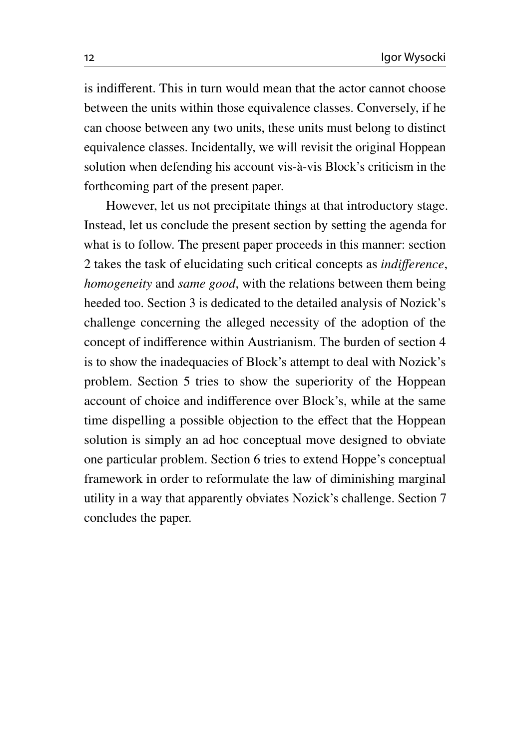is indifferent. This in turn would mean that the actor cannot choose between the units within those equivalence classes. Conversely, if he can choose between any two units, these units must belong to distinct equivalence classes. Incidentally, we will revisit the original Hoppean solution when defending his account vis-à-vis Block's criticism in the forthcoming part of the present paper.

However, let us not precipitate things at that introductory stage. Instead, let us conclude the present section by setting the agenda for what is to follow. The present paper proceeds in this manner: section 2 takes the task of elucidating such critical concepts as *indi*ff*erence*, *homogeneity* and *same good*, with the relations between them being heeded too. Section 3 is dedicated to the detailed analysis of Nozick's challenge concerning the alleged necessity of the adoption of the concept of indifference within Austrianism. The burden of section 4 is to show the inadequacies of Block's attempt to deal with Nozick's problem. Section 5 tries to show the superiority of the Hoppean account of choice and indifference over Block's, while at the same time dispelling a possible objection to the effect that the Hoppean solution is simply an ad hoc conceptual move designed to obviate one particular problem. Section 6 tries to extend Hoppe's conceptual framework in order to reformulate the law of diminishing marginal utility in a way that apparently obviates Nozick's challenge. Section 7 concludes the paper.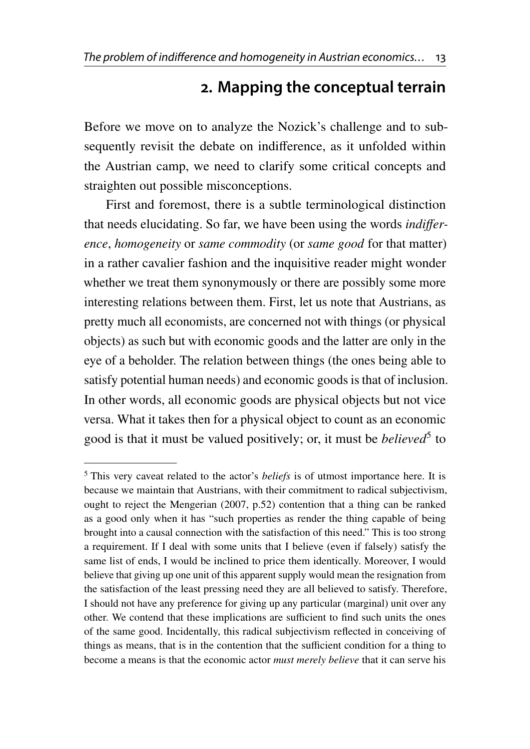## **2. Mapping the conceptual terrain**

Before we move on to analyze the Nozick's challenge and to subsequently revisit the debate on indifference, as it unfolded within the Austrian camp, we need to clarify some critical concepts and straighten out possible misconceptions.

First and foremost, there is a subtle terminological distinction that needs elucidating. So far, we have been using the words *indi*ff*erence*, *homogeneity* or *same commodity* (or *same good* for that matter) in a rather cavalier fashion and the inquisitive reader might wonder whether we treat them synonymously or there are possibly some more interesting relations between them. First, let us note that Austrians, as pretty much all economists, are concerned not with things (or physical objects) as such but with economic goods and the latter are only in the eye of a beholder. The relation between things (the ones being able to satisfy potential human needs) and economic goods is that of inclusion. In other words, all economic goods are physical objects but not vice versa. What it takes then for a physical object to count as an economic good is that it must be valued positively; or, it must be *believed*[5](#page-4-0) to

<span id="page-4-0"></span><sup>5</sup> This very caveat related to the actor's *beliefs* is of utmost importance here. It is because we maintain that Austrians, with their commitment to radical subjectivism, ought to reject the Mengerian [\(2007,](#page-35-4) p.52) contention that a thing can be ranked as a good only when it has "such properties as render the thing capable of being brought into a causal connection with the satisfaction of this need." This is too strong a requirement. If I deal with some units that I believe (even if falsely) satisfy the same list of ends, I would be inclined to price them identically. Moreover, I would believe that giving up one unit of this apparent supply would mean the resignation from the satisfaction of the least pressing need they are all believed to satisfy. Therefore, I should not have any preference for giving up any particular (marginal) unit over any other. We contend that these implications are sufficient to find such units the ones of the same good. Incidentally, this radical subjectivism reflected in conceiving of things as means, that is in the contention that the sufficient condition for a thing to become a means is that the economic actor *must merely believe* that it can serve his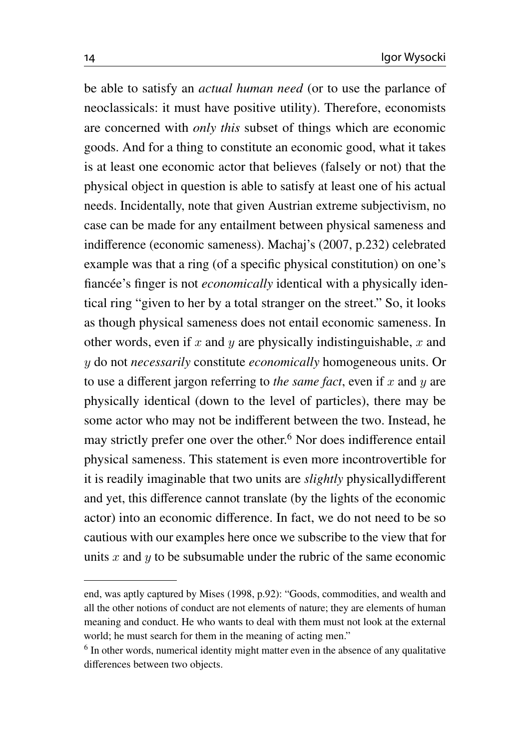be able to satisfy an *actual human need* (or to use the parlance of neoclassicals: it must have positive utility). Therefore, economists are concerned with *only this* subset of things which are economic goods. And for a thing to constitute an economic good, what it takes is at least one economic actor that believes (falsely or not) that the physical object in question is able to satisfy at least one of his actual needs. Incidentally, note that given Austrian extreme subjectivism, no case can be made for any entailment between physical sameness and indifference (economic sameness). Machaj's [\(2007,](#page-35-5) p.232) celebrated example was that a ring (of a specific physical constitution) on one's fiancée's finger is not *economically* identical with a physically identical ring "given to her by a total stranger on the street." So, it looks as though physical sameness does not entail economic sameness. In other words, even if  $x$  and  $y$  are physically indistinguishable,  $x$  and y do not *necessarily* constitute *economically* homogeneous units. Or to use a different jargon referring to *the same fact*, even if  $x$  and  $y$  are physically identical (down to the level of particles), there may be some actor who may not be indifferent between the two. Instead, he may strictly prefer one over the other.<sup>[6](#page-5-0)</sup> Nor does indifference entail physical sameness. This statement is even more incontrovertible for it is readily imaginable that two units are *slightly* physicallydifferent and yet, this difference cannot translate (by the lights of the economic actor) into an economic difference. In fact, we do not need to be so cautious with our examples here once we subscribe to the view that for units  $x$  and  $y$  to be subsumable under the rubric of the same economic

end, was aptly captured by Mises [\(1998,](#page-35-6) p.92): "Goods, commodities, and wealth and all the other notions of conduct are not elements of nature; they are elements of human meaning and conduct. He who wants to deal with them must not look at the external world; he must search for them in the meaning of acting men."

<span id="page-5-0"></span><sup>&</sup>lt;sup>6</sup> In other words, numerical identity might matter even in the absence of any qualitative differences between two objects.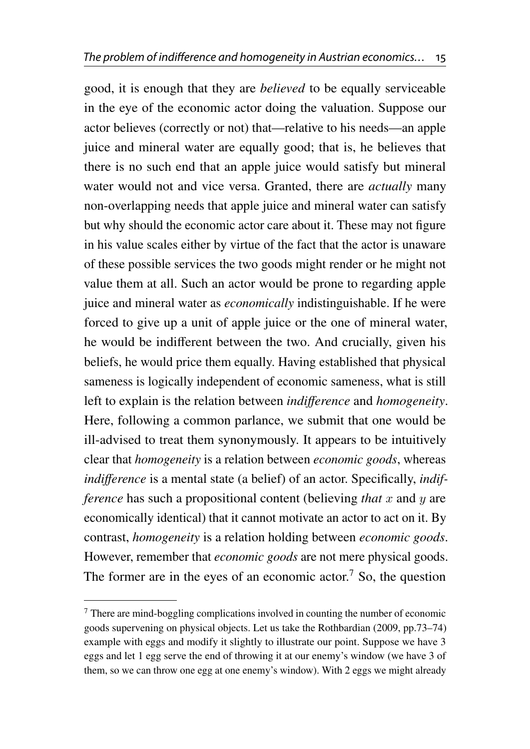good, it is enough that they are *believed* to be equally serviceable in the eye of the economic actor doing the valuation. Suppose our actor believes (correctly or not) that—relative to his needs—an apple juice and mineral water are equally good; that is, he believes that there is no such end that an apple juice would satisfy but mineral water would not and vice versa. Granted, there are *actually* many non-overlapping needs that apple juice and mineral water can satisfy but why should the economic actor care about it. These may not figure in his value scales either by virtue of the fact that the actor is unaware of these possible services the two goods might render or he might not value them at all. Such an actor would be prone to regarding apple juice and mineral water as *economically* indistinguishable. If he were forced to give up a unit of apple juice or the one of mineral water, he would be indifferent between the two. And crucially, given his beliefs, he would price them equally. Having established that physical sameness is logically independent of economic sameness, what is still left to explain is the relation between *indi*ff*erence* and *homogeneity*. Here, following a common parlance, we submit that one would be ill-advised to treat them synonymously. It appears to be intuitively clear that *homogeneity* is a relation between *economic goods*, whereas *indi*ff*erence* is a mental state (a belief) of an actor. Specifically, *indifference* has such a propositional content (believing *that* x and y are economically identical) that it cannot motivate an actor to act on it. By contrast, *homogeneity* is a relation holding between *economic goods*. However, remember that *economic goods* are not mere physical goods. The former are in the eyes of an economic actor.<sup>[7](#page-6-0)</sup> So, the question

<span id="page-6-0"></span><sup>7</sup> There are mind-boggling complications involved in counting the number of economic goods supervening on physical objects. Let us take the Rothbardian [\(2009,](#page-35-7) pp.73–74) example with eggs and modify it slightly to illustrate our point. Suppose we have 3 eggs and let 1 egg serve the end of throwing it at our enemy's window (we have 3 of them, so we can throw one egg at one enemy's window). With 2 eggs we might already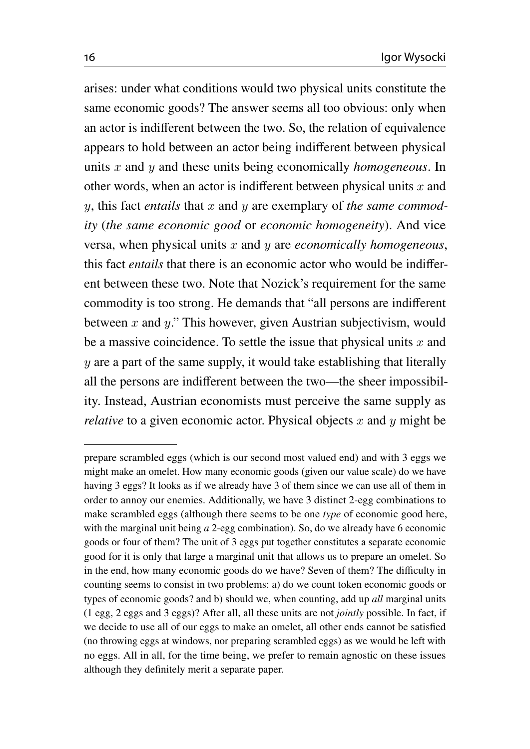arises: under what conditions would two physical units constitute the same economic goods? The answer seems all too obvious: only when an actor is indifferent between the two. So, the relation of equivalence appears to hold between an actor being indifferent between physical units x and y and these units being economically *homogeneous*. In other words, when an actor is indifferent between physical units  $x$  and y, this fact *entails* that x and y are exemplary of *the same commodity* (*the same economic good* or *economic homogeneity*). And vice versa, when physical units x and y are *economically homogeneous*, this fact *entails* that there is an economic actor who would be indifferent between these two. Note that Nozick's requirement for the same commodity is too strong. He demands that "all persons are indifferent between  $x$  and  $y$ ." This however, given Austrian subjectivism, would be a massive coincidence. To settle the issue that physical units  $x$  and  $y$  are a part of the same supply, it would take establishing that literally all the persons are indifferent between the two—the sheer impossibility. Instead, Austrian economists must perceive the same supply as *relative* to a given economic actor. Physical objects  $x$  and  $y$  might be

prepare scrambled eggs (which is our second most valued end) and with 3 eggs we might make an omelet. How many economic goods (given our value scale) do we have having 3 eggs? It looks as if we already have 3 of them since we can use all of them in order to annoy our enemies. Additionally, we have 3 distinct 2-egg combinations to make scrambled eggs (although there seems to be one *type* of economic good here, with the marginal unit being *a* 2-egg combination). So, do we already have 6 economic goods or four of them? The unit of 3 eggs put together constitutes a separate economic good for it is only that large a marginal unit that allows us to prepare an omelet. So in the end, how many economic goods do we have? Seven of them? The difficulty in counting seems to consist in two problems: a) do we count token economic goods or types of economic goods? and b) should we, when counting, add up *all* marginal units (1 egg, 2 eggs and 3 eggs)? After all, all these units are not *jointly* possible. In fact, if we decide to use all of our eggs to make an omelet, all other ends cannot be satisfied (no throwing eggs at windows, nor preparing scrambled eggs) as we would be left with no eggs. All in all, for the time being, we prefer to remain agnostic on these issues although they definitely merit a separate paper.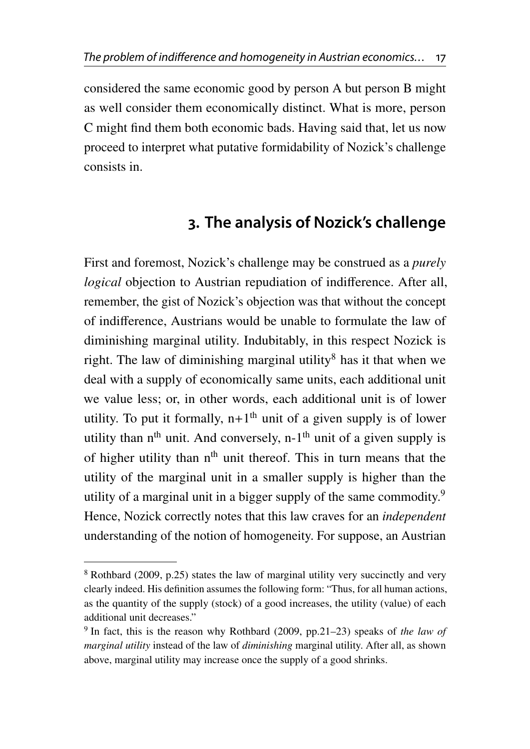considered the same economic good by person A but person B might as well consider them economically distinct. What is more, person C might find them both economic bads. Having said that, let us now proceed to interpret what putative formidability of Nozick's challenge consists in.

## **3. The analysis of Nozick's challenge**

First and foremost, Nozick's challenge may be construed as a *purely logical* objection to Austrian repudiation of indifference. After all, remember, the gist of Nozick's objection was that without the concept of indifference, Austrians would be unable to formulate the law of diminishing marginal utility. Indubitably, in this respect Nozick is right. The law of diminishing marginal utility<sup>[8](#page-8-0)</sup> has it that when we deal with a supply of economically same units, each additional unit we value less; or, in other words, each additional unit is of lower utility. To put it formally,  $n+1<sup>th</sup>$  unit of a given supply is of lower utility than  $n<sup>th</sup>$  unit. And conversely, n-1<sup>th</sup> unit of a given supply is of higher utility than  $n<sup>th</sup>$  unit thereof. This in turn means that the utility of the marginal unit in a smaller supply is higher than the utility of a marginal unit in a bigger supply of the same commodity.<sup>[9](#page-8-1)</sup> Hence, Nozick correctly notes that this law craves for an *independent* understanding of the notion of homogeneity. For suppose, an Austrian

<span id="page-8-0"></span><sup>8</sup> Rothbard [\(2009,](#page-35-7) p.25) states the law of marginal utility very succinctly and very clearly indeed. His definition assumes the following form: "Thus, for all human actions, as the quantity of the supply (stock) of a good increases, the utility (value) of each additional unit decreases."

<span id="page-8-1"></span><sup>&</sup>lt;sup>9</sup> In fact, this is the reason why Rothbard [\(2009,](#page-35-7) pp.21–23) speaks of *the law of marginal utility* instead of the law of *diminishing* marginal utility. After all, as shown above, marginal utility may increase once the supply of a good shrinks.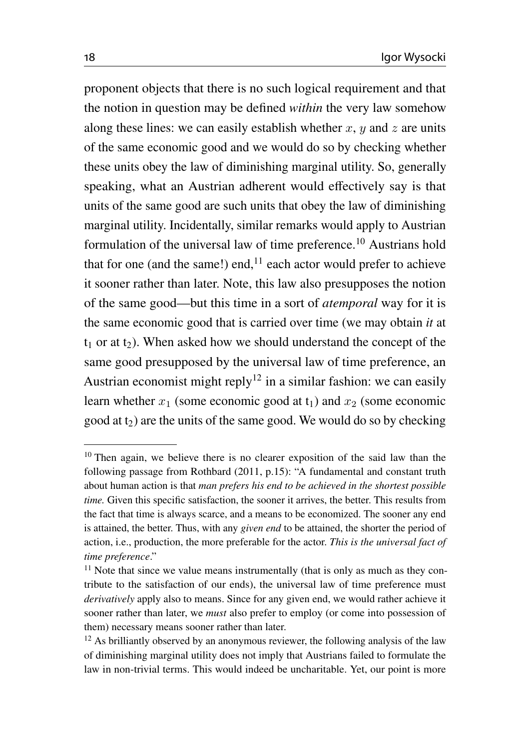proponent objects that there is no such logical requirement and that the notion in question may be defined *within* the very law somehow along these lines: we can easily establish whether  $x, y$  and  $z$  are units of the same economic good and we would do so by checking whether these units obey the law of diminishing marginal utility. So, generally speaking, what an Austrian adherent would effectively say is that units of the same good are such units that obey the law of diminishing marginal utility. Incidentally, similar remarks would apply to Austrian formulation of the universal law of time preference.[10](#page-9-0) Austrians hold that for one (and the same!) end, $^{11}$  $^{11}$  $^{11}$  each actor would prefer to achieve it sooner rather than later. Note, this law also presupposes the notion of the same good—but this time in a sort of *atemporal* way for it is the same economic good that is carried over time (we may obtain *it* at  $t_1$  or at  $t_2$ ). When asked how we should understand the concept of the same good presupposed by the universal law of time preference, an Austrian economist might reply<sup>[12](#page-9-2)</sup> in a similar fashion: we can easily learn whether  $x_1$  (some economic good at  $t_1$ ) and  $x_2$  (some economic good at  $t_2$ ) are the units of the same good. We would do so by checking

<span id="page-9-0"></span><sup>&</sup>lt;sup>10</sup> Then again, we believe there is no clearer exposition of the said law than the following passage from Rothbard [\(2011,](#page-35-2) p.15): "A fundamental and constant truth about human action is that *man prefers his end to be achieved in the shortest possible time.* Given this specific satisfaction, the sooner it arrives, the better. This results from the fact that time is always scarce, and a means to be economized. The sooner any end is attained, the better. Thus, with any *given end* to be attained, the shorter the period of action, i.e., production, the more preferable for the actor. *This is the universal fact of time preference*."

<span id="page-9-1"></span> $11$  Note that since we value means instrumentally (that is only as much as they contribute to the satisfaction of our ends), the universal law of time preference must *derivatively* apply also to means. Since for any given end, we would rather achieve it sooner rather than later, we *must* also prefer to employ (or come into possession of them) necessary means sooner rather than later.

<span id="page-9-2"></span> $12$  As brilliantly observed by an anonymous reviewer, the following analysis of the law of diminishing marginal utility does not imply that Austrians failed to formulate the law in non-trivial terms. This would indeed be uncharitable. Yet, our point is more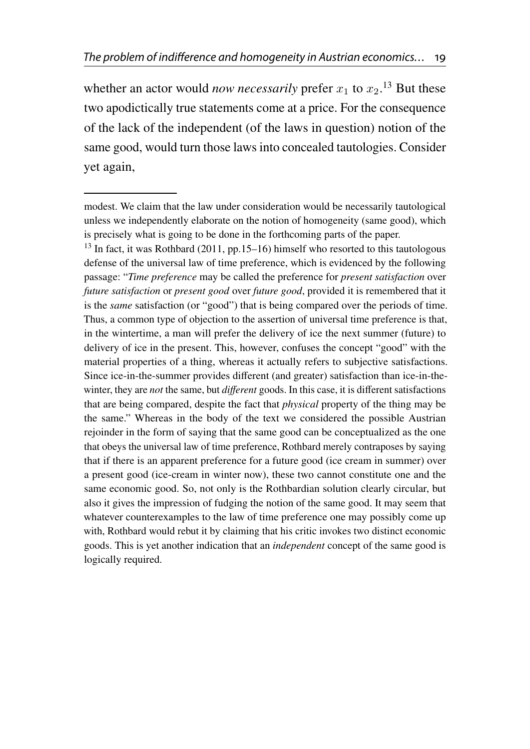whether an actor would *now necessarily* prefer  $x_1$  to  $x_2$ .<sup>[13](#page-10-0)</sup> But these two apodictically true statements come at a price. For the consequence of the lack of the independent (of the laws in question) notion of the same good, would turn those laws into concealed tautologies. Consider yet again,

<span id="page-10-0"></span> $13$  In fact, it was Rothbard [\(2011,](#page-35-2) pp.15–16) himself who resorted to this tautologous defense of the universal law of time preference, which is evidenced by the following passage: "*Time preference* may be called the preference for *present satisfaction* over *future satisfaction* or *present good* over *future good*, provided it is remembered that it is the *same* satisfaction (or "good") that is being compared over the periods of time. Thus, a common type of objection to the assertion of universal time preference is that, in the wintertime, a man will prefer the delivery of ice the next summer (future) to delivery of ice in the present. This, however, confuses the concept "good" with the material properties of a thing, whereas it actually refers to subjective satisfactions. Since ice-in-the-summer provides different (and greater) satisfaction than ice-in-thewinter, they are *not* the same, but *di*ff*erent* goods. In this case, it is different satisfactions that are being compared, despite the fact that *physical* property of the thing may be the same." Whereas in the body of the text we considered the possible Austrian rejoinder in the form of saying that the same good can be conceptualized as the one that obeys the universal law of time preference, Rothbard merely contraposes by saying that if there is an apparent preference for a future good (ice cream in summer) over a present good (ice-cream in winter now), these two cannot constitute one and the same economic good. So, not only is the Rothbardian solution clearly circular, but also it gives the impression of fudging the notion of the same good. It may seem that whatever counterexamples to the law of time preference one may possibly come up with, Rothbard would rebut it by claiming that his critic invokes two distinct economic goods. This is yet another indication that an *independent* concept of the same good is logically required.

modest. We claim that the law under consideration would be necessarily tautological unless we independently elaborate on the notion of homogeneity (same good), which is precisely what is going to be done in the forthcoming parts of the paper.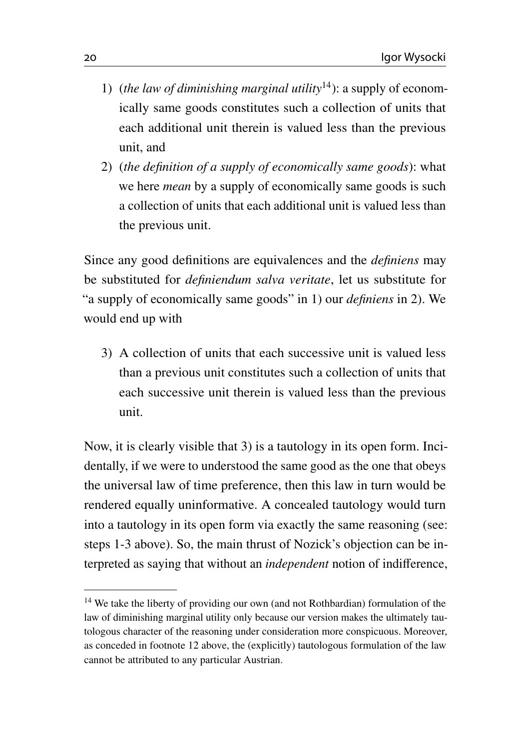- 1) (*the law of diminishing marginal utility*[14](#page-11-0)): a supply of economically same goods constitutes such a collection of units that each additional unit therein is valued less than the previous unit, and
- 2) (*the definition of a supply of economically same goods*): what we here *mean* by a supply of economically same goods is such a collection of units that each additional unit is valued less than the previous unit.

Since any good definitions are equivalences and the *definiens* may be substituted for *definiendum salva veritate*, let us substitute for "a supply of economically same goods" in 1) our *definiens* in 2). We would end up with

3) A collection of units that each successive unit is valued less than a previous unit constitutes such a collection of units that each successive unit therein is valued less than the previous unit.

Now, it is clearly visible that 3) is a tautology in its open form. Incidentally, if we were to understood the same good as the one that obeys the universal law of time preference, then this law in turn would be rendered equally uninformative. A concealed tautology would turn into a tautology in its open form via exactly the same reasoning (see: steps 1-3 above). So, the main thrust of Nozick's objection can be interpreted as saying that without an *independent* notion of indifference,

<span id="page-11-0"></span><sup>&</sup>lt;sup>14</sup> We take the liberty of providing our own (and not Rothbardian) formulation of the law of diminishing marginal utility only because our version makes the ultimately tautologous character of the reasoning under consideration more conspicuous. Moreover, as conceded in footnote 12 above, the (explicitly) tautologous formulation of the law cannot be attributed to any particular Austrian.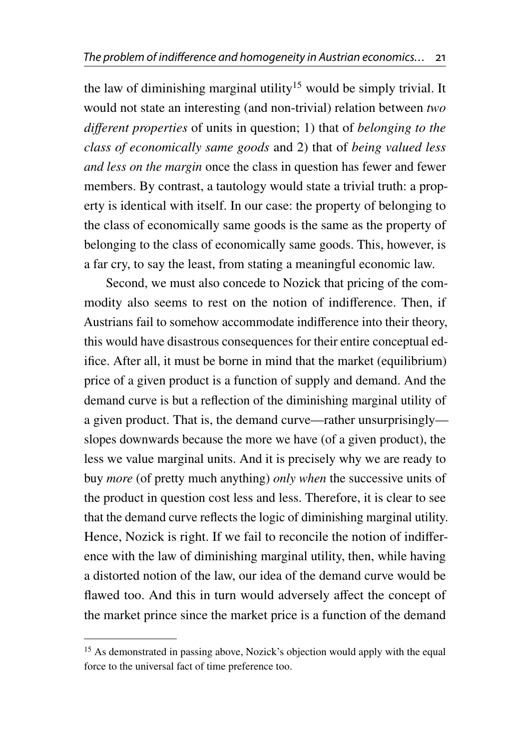the law of diminishing marginal utility<sup>[15](#page-12-0)</sup> would be simply trivial. It would not state an interesting (and non-trivial) relation between *two di*ff*erent properties* of units in question; 1) that of *belonging to the class of economically same goods* and 2) that of *being valued less and less on the margin* once the class in question has fewer and fewer members. By contrast, a tautology would state a trivial truth: a property is identical with itself. In our case: the property of belonging to the class of economically same goods is the same as the property of belonging to the class of economically same goods. This, however, is a far cry, to say the least, from stating a meaningful economic law.

Second, we must also concede to Nozick that pricing of the commodity also seems to rest on the notion of indifference. Then, if Austrians fail to somehow accommodate indifference into their theory, this would have disastrous consequences for their entire conceptual edifice. After all, it must be borne in mind that the market (equilibrium) price of a given product is a function of supply and demand. And the demand curve is but a reflection of the diminishing marginal utility of a given product. That is, the demand curve—rather unsurprisingly slopes downwards because the more we have (of a given product), the less we value marginal units. And it is precisely why we are ready to buy *more* (of pretty much anything) *only when* the successive units of the product in question cost less and less. Therefore, it is clear to see that the demand curve reflects the logic of diminishing marginal utility. Hence, Nozick is right. If we fail to reconcile the notion of indifference with the law of diminishing marginal utility, then, while having a distorted notion of the law, our idea of the demand curve would be flawed too. And this in turn would adversely affect the concept of the market prince since the market price is a function of the demand

<span id="page-12-0"></span><sup>&</sup>lt;sup>15</sup> As demonstrated in passing above, Nozick's objection would apply with the equal force to the universal fact of time preference too.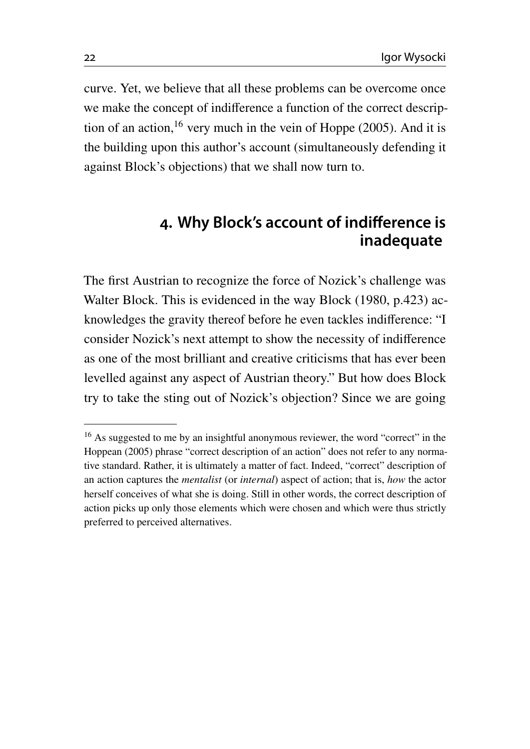curve. Yet, we believe that all these problems can be overcome once we make the concept of indifference a function of the correct descrip-tion of an action,<sup>[16](#page-13-0)</sup> very much in the vein of Hoppe [\(2005\)](#page-35-3). And it is the building upon this author's account (simultaneously defending it against Block's objections) that we shall now turn to.

### **4. Why Block's account of indifference is inadequate**

The first Austrian to recognize the force of Nozick's challenge was Walter Block. This is evidenced in the way Block [\(1980,](#page-34-1) p.423) acknowledges the gravity thereof before he even tackles indifference: "I consider Nozick's next attempt to show the necessity of indifference as one of the most brilliant and creative criticisms that has ever been levelled against any aspect of Austrian theory." But how does Block try to take the sting out of Nozick's objection? Since we are going

<span id="page-13-0"></span><sup>&</sup>lt;sup>16</sup> As suggested to me by an insightful anonymous reviewer, the word "correct" in the Hoppean [\(2005\)](#page-35-3) phrase "correct description of an action" does not refer to any normative standard. Rather, it is ultimately a matter of fact. Indeed, "correct" description of an action captures the *mentalist* (or *internal*) aspect of action; that is, *how* the actor herself conceives of what she is doing. Still in other words, the correct description of action picks up only those elements which were chosen and which were thus strictly preferred to perceived alternatives.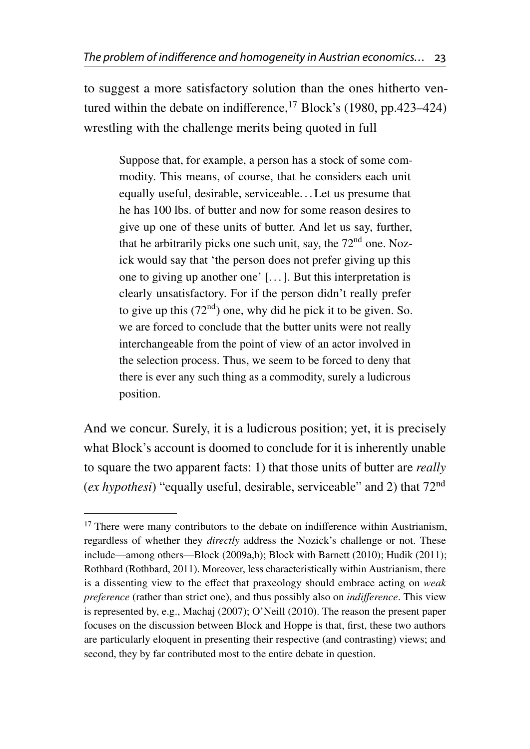to suggest a more satisfactory solution than the ones hitherto ventured within the debate on indifference,  $17$  Block's [\(1980,](#page-34-1) pp.423–424) wrestling with the challenge merits being quoted in full

Suppose that, for example, a person has a stock of some commodity. This means, of course, that he considers each unit equally useful, desirable, serviceable. . . Let us presume that he has 100 lbs. of butter and now for some reason desires to give up one of these units of butter. And let us say, further, that he arbitrarily picks one such unit, say, the  $72<sup>nd</sup>$  one. Nozick would say that 'the person does not prefer giving up this one to giving up another one' [. . . ]. But this interpretation is clearly unsatisfactory. For if the person didn't really prefer to give up this  $(72<sup>nd</sup>)$  one, why did he pick it to be given. So. we are forced to conclude that the butter units were not really interchangeable from the point of view of an actor involved in the selection process. Thus, we seem to be forced to deny that there is ever any such thing as a commodity, surely a ludicrous position.

And we concur. Surely, it is a ludicrous position; yet, it is precisely what Block's account is doomed to conclude for it is inherently unable to square the two apparent facts: 1) that those units of butter are *really* (*ex hypothesi*) "equally useful, desirable, serviceable" and 2) that 72nd

<span id="page-14-0"></span> $17$  There were many contributors to the debate on indifference within Austrianism, regardless of whether they *directly* address the Nozick's challenge or not. These include—among others—Block [\(2009a](#page-34-2)[,b\)](#page-35-8); Block with Barnett [\(2010\)](#page-35-9); Hudik [\(2011\)](#page-35-1); Rothbard (Rothbard, [2011\)](#page-35-2). Moreover, less characteristically within Austrianism, there is a dissenting view to the effect that praxeology should embrace acting on *weak preference* (rather than strict one), and thus possibly also on *indi*ff*erence*. This view is represented by, e.g., Machaj [\(2007\)](#page-35-5); O'Neill [\(2010\)](#page-35-10). The reason the present paper focuses on the discussion between Block and Hoppe is that, first, these two authors are particularly eloquent in presenting their respective (and contrasting) views; and second, they by far contributed most to the entire debate in question.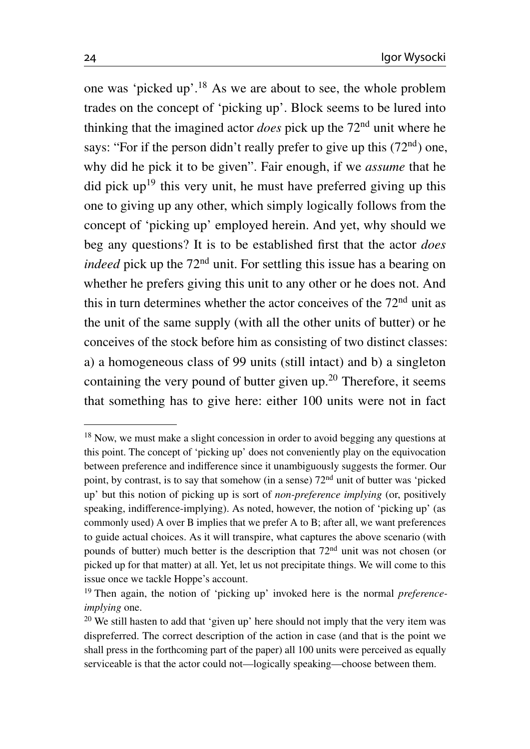one was 'picked up'.[18](#page-15-0) As we are about to see, the whole problem trades on the concept of 'picking up'. Block seems to be lured into thinking that the imagined actor *does* pick up the 72nd unit where he says: "For if the person didn't really prefer to give up this  $(72<sup>nd</sup>)$  one, why did he pick it to be given". Fair enough, if we *assume* that he did pick  $up^{19}$  $up^{19}$  $up^{19}$  this very unit, he must have preferred giving up this one to giving up any other, which simply logically follows from the concept of 'picking up' employed herein. And yet, why should we beg any questions? It is to be established first that the actor *does indeed* pick up the 72<sup>nd</sup> unit. For settling this issue has a bearing on whether he prefers giving this unit to any other or he does not. And this in turn determines whether the actor conceives of the 72nd unit as the unit of the same supply (with all the other units of butter) or he conceives of the stock before him as consisting of two distinct classes: a) a homogeneous class of 99 units (still intact) and b) a singleton containing the very pound of butter given up. $^{20}$  $^{20}$  $^{20}$  Therefore, it seems that something has to give here: either 100 units were not in fact

<span id="page-15-0"></span><sup>&</sup>lt;sup>18</sup> Now, we must make a slight concession in order to avoid begging any questions at this point. The concept of 'picking up' does not conveniently play on the equivocation between preference and indifference since it unambiguously suggests the former. Our point, by contrast, is to say that somehow (in a sense) 72nd unit of butter was 'picked up' but this notion of picking up is sort of *non-preference implying* (or, positively speaking, indifference-implying). As noted, however, the notion of 'picking up' (as commonly used) A over B implies that we prefer A to B; after all, we want preferences to guide actual choices. As it will transpire, what captures the above scenario (with pounds of butter) much better is the description that 72nd unit was not chosen (or picked up for that matter) at all. Yet, let us not precipitate things. We will come to this issue once we tackle Hoppe's account.

<span id="page-15-1"></span><sup>19</sup> Then again, the notion of 'picking up' invoked here is the normal *preferenceimplying* one.

<span id="page-15-2"></span> $20$  We still hasten to add that 'given up' here should not imply that the very item was dispreferred. The correct description of the action in case (and that is the point we shall press in the forthcoming part of the paper) all 100 units were perceived as equally serviceable is that the actor could not—logically speaking—choose between them.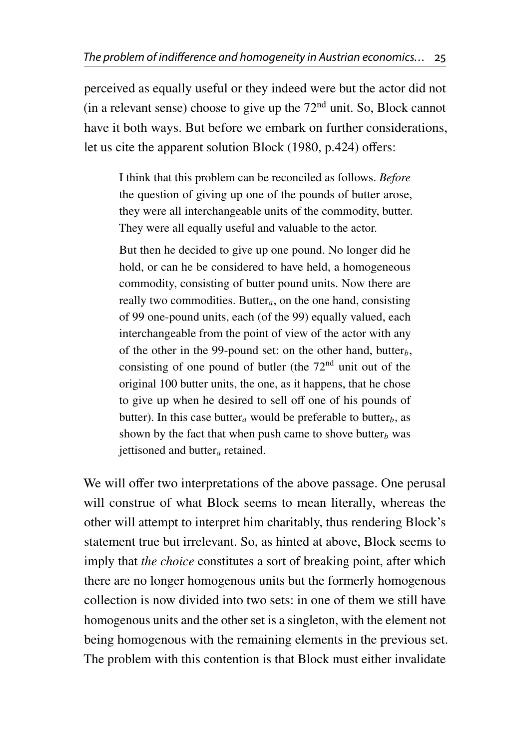perceived as equally useful or they indeed were but the actor did not (in a relevant sense) choose to give up the  $72<sup>nd</sup>$  unit. So, Block cannot have it both ways. But before we embark on further considerations, let us cite the apparent solution Block [\(1980,](#page-34-1) p.424) offers:

I think that this problem can be reconciled as follows. *Before* the question of giving up one of the pounds of butter arose, they were all interchangeable units of the commodity, butter. They were all equally useful and valuable to the actor.

But then he decided to give up one pound. No longer did he hold, or can he be considered to have held, a homogeneous commodity, consisting of butter pound units. Now there are really two commodities. Butter*a*, on the one hand, consisting of 99 one-pound units, each (of the 99) equally valued, each interchangeable from the point of view of the actor with any of the other in the 99-pound set: on the other hand, butter*b*, consisting of one pound of butler (the  $72<sup>nd</sup>$  unit out of the original 100 butter units, the one, as it happens, that he chose to give up when he desired to sell off one of his pounds of butter). In this case butter<sub>a</sub> would be preferable to butter<sub>b</sub>, as shown by the fact that when push came to shove butter<sub>b</sub> was jettisoned and butter*<sup>a</sup>* retained.

We will offer two interpretations of the above passage. One perusal will construe of what Block seems to mean literally, whereas the other will attempt to interpret him charitably, thus rendering Block's statement true but irrelevant. So, as hinted at above, Block seems to imply that *the choice* constitutes a sort of breaking point, after which there are no longer homogenous units but the formerly homogenous collection is now divided into two sets: in one of them we still have homogenous units and the other set is a singleton, with the element not being homogenous with the remaining elements in the previous set. The problem with this contention is that Block must either invalidate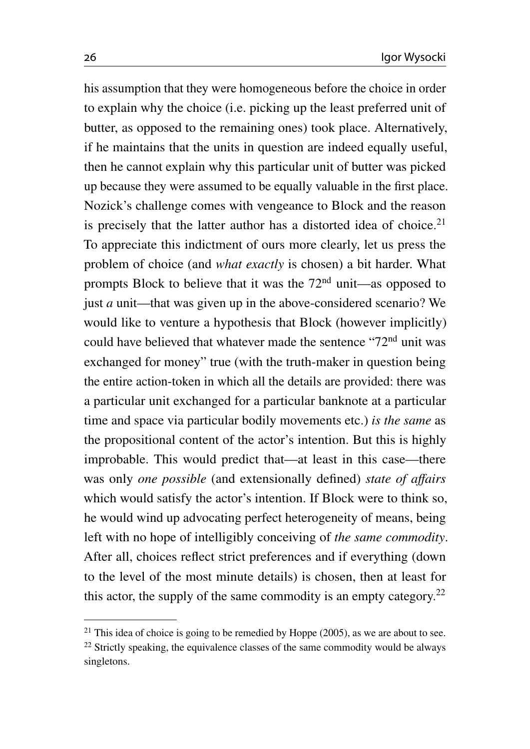his assumption that they were homogeneous before the choice in order to explain why the choice (i.e. picking up the least preferred unit of butter, as opposed to the remaining ones) took place. Alternatively, if he maintains that the units in question are indeed equally useful, then he cannot explain why this particular unit of butter was picked up because they were assumed to be equally valuable in the first place. Nozick's challenge comes with vengeance to Block and the reason is precisely that the latter author has a distorted idea of choice. $2<sup>1</sup>$ To appreciate this indictment of ours more clearly, let us press the problem of choice (and *what exactly* is chosen) a bit harder. What prompts Block to believe that it was the 72nd unit—as opposed to just *a* unit—that was given up in the above-considered scenario? We would like to venture a hypothesis that Block (however implicitly) could have believed that whatever made the sentence "72nd unit was exchanged for money" true (with the truth-maker in question being the entire action-token in which all the details are provided: there was a particular unit exchanged for a particular banknote at a particular time and space via particular bodily movements etc.) *is the same* as the propositional content of the actor's intention. But this is highly improbable. This would predict that—at least in this case—there was only *one possible* (and extensionally defined) *state of a*ff*airs* which would satisfy the actor's intention. If Block were to think so, he would wind up advocating perfect heterogeneity of means, being left with no hope of intelligibly conceiving of *the same commodity*. After all, choices reflect strict preferences and if everything (down to the level of the most minute details) is chosen, then at least for this actor, the supply of the same commodity is an empty category. $22$ 

<span id="page-17-0"></span><sup>&</sup>lt;sup>21</sup> This idea of choice is going to be remedied by Hoppe [\(2005\)](#page-35-3), as we are about to see.

<span id="page-17-1"></span> $22$  Strictly speaking, the equivalence classes of the same commodity would be always singletons.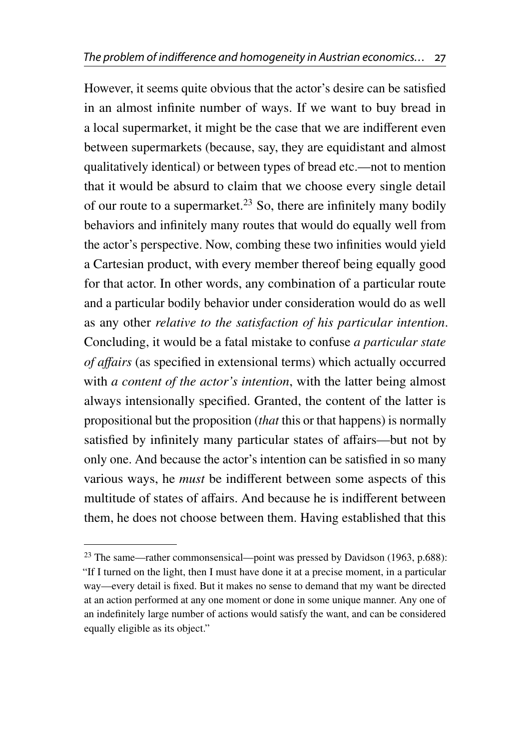However, it seems quite obvious that the actor's desire can be satisfied in an almost infinite number of ways. If we want to buy bread in a local supermarket, it might be the case that we are indifferent even between supermarkets (because, say, they are equidistant and almost qualitatively identical) or between types of bread etc.—not to mention that it would be absurd to claim that we choose every single detail of our route to a supermarket.<sup>[23](#page-18-0)</sup> So, there are infinitely many bodily behaviors and infinitely many routes that would do equally well from the actor's perspective. Now, combing these two infinities would yield a Cartesian product, with every member thereof being equally good for that actor. In other words, any combination of a particular route and a particular bodily behavior under consideration would do as well as any other *relative to the satisfaction of his particular intention*. Concluding, it would be a fatal mistake to confuse *a particular state of a*ff*airs* (as specified in extensional terms) which actually occurred with *a content of the actor's intention*, with the latter being almost always intensionally specified. Granted, the content of the latter is propositional but the proposition (*that* this or that happens) is normally satisfied by infinitely many particular states of affairs—but not by only one. And because the actor's intention can be satisfied in so many various ways, he *must* be indifferent between some aspects of this multitude of states of affairs. And because he is indifferent between them, he does not choose between them. Having established that this

<span id="page-18-0"></span><sup>&</sup>lt;sup>23</sup> The same—rather commonsensical—point was pressed by Davidson [\(1963,](#page-35-11) p.688): "If I turned on the light, then I must have done it at a precise moment, in a particular way—every detail is fixed. But it makes no sense to demand that my want be directed at an action performed at any one moment or done in some unique manner. Any one of an indefinitely large number of actions would satisfy the want, and can be considered equally eligible as its object."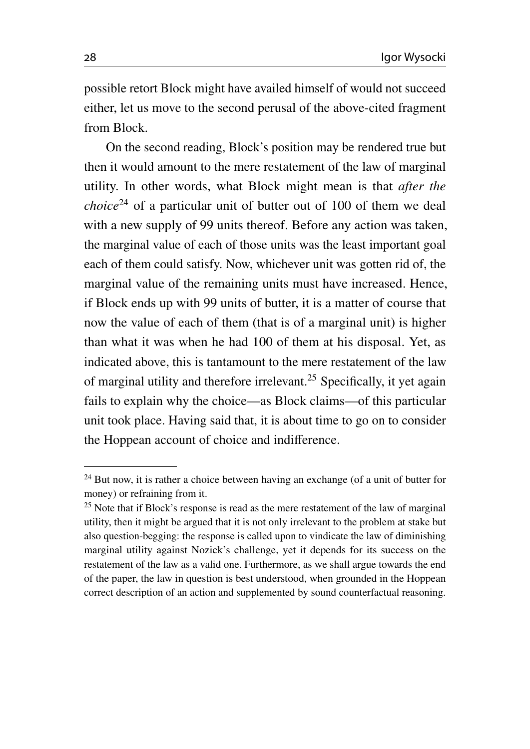possible retort Block might have availed himself of would not succeed either, let us move to the second perusal of the above-cited fragment from Block.

On the second reading, Block's position may be rendered true but then it would amount to the mere restatement of the law of marginal utility. In other words, what Block might mean is that *after the choice*[24](#page-19-0) of a particular unit of butter out of 100 of them we deal with a new supply of 99 units thereof. Before any action was taken, the marginal value of each of those units was the least important goal each of them could satisfy. Now, whichever unit was gotten rid of, the marginal value of the remaining units must have increased. Hence, if Block ends up with 99 units of butter, it is a matter of course that now the value of each of them (that is of a marginal unit) is higher than what it was when he had 100 of them at his disposal. Yet, as indicated above, this is tantamount to the mere restatement of the law of marginal utility and therefore irrelevant.[25](#page-19-1) Specifically, it yet again fails to explain why the choice—as Block claims—of this particular unit took place. Having said that, it is about time to go on to consider the Hoppean account of choice and indifference.

<span id="page-19-0"></span> $24$  But now, it is rather a choice between having an exchange (of a unit of butter for money) or refraining from it.

<span id="page-19-1"></span><sup>&</sup>lt;sup>25</sup> Note that if Block's response is read as the mere restatement of the law of marginal utility, then it might be argued that it is not only irrelevant to the problem at stake but also question-begging: the response is called upon to vindicate the law of diminishing marginal utility against Nozick's challenge, yet it depends for its success on the restatement of the law as a valid one. Furthermore, as we shall argue towards the end of the paper, the law in question is best understood, when grounded in the Hoppean correct description of an action and supplemented by sound counterfactual reasoning.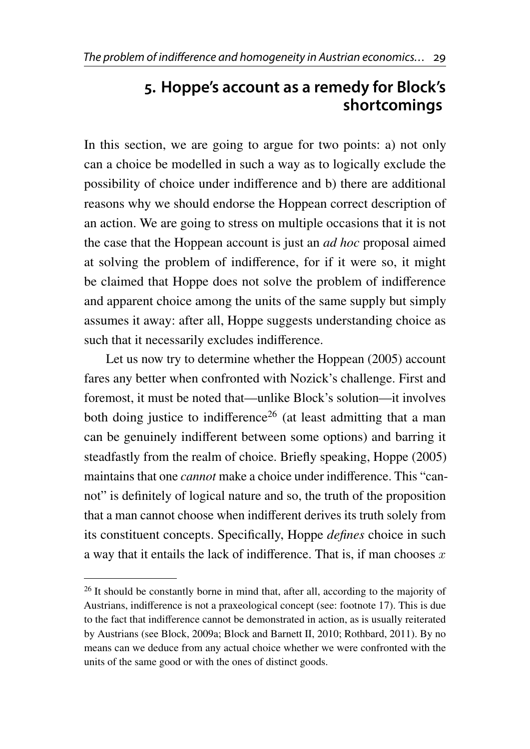## **5. Hoppe's account as a remedy for Block's shortcomings**

In this section, we are going to argue for two points: a) not only can a choice be modelled in such a way as to logically exclude the possibility of choice under indifference and b) there are additional reasons why we should endorse the Hoppean correct description of an action. We are going to stress on multiple occasions that it is not the case that the Hoppean account is just an *ad hoc* proposal aimed at solving the problem of indifference, for if it were so, it might be claimed that Hoppe does not solve the problem of indifference and apparent choice among the units of the same supply but simply assumes it away: after all, Hoppe suggests understanding choice as such that it necessarily excludes indifference.

Let us now try to determine whether the Hoppean [\(2005\)](#page-35-3) account fares any better when confronted with Nozick's challenge. First and foremost, it must be noted that—unlike Block's solution—it involves both doing justice to indifference<sup>[26](#page-20-0)</sup> (at least admitting that a man can be genuinely indifferent between some options) and barring it steadfastly from the realm of choice. Briefly speaking, Hoppe [\(2005\)](#page-35-3) maintains that one *cannot* make a choice under indifference. This "cannot" is definitely of logical nature and so, the truth of the proposition that a man cannot choose when indifferent derives its truth solely from its constituent concepts. Specifically, Hoppe *defines* choice in such a way that it entails the lack of indifference. That is, if man chooses  $x$ 

<span id="page-20-0"></span><sup>&</sup>lt;sup>26</sup> It should be constantly borne in mind that, after all, according to the majority of Austrians, indifference is not a praxeological concept (see: footnote 17). This is due to the fact that indifference cannot be demonstrated in action, as is usually reiterated by Austrians (see Block, [2009a;](#page-34-2) Block and Barnett II, [2010;](#page-35-9) Rothbard, [2011\)](#page-35-2). By no means can we deduce from any actual choice whether we were confronted with the units of the same good or with the ones of distinct goods.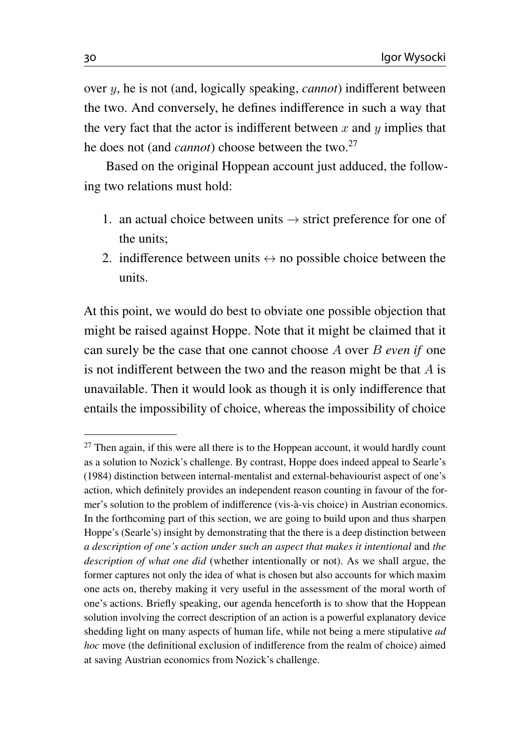over y, he is not (and, logically speaking, *cannot*) indifferent between the two. And conversely, he defines indifference in such a way that the very fact that the actor is indifferent between  $x$  and  $y$  implies that he does not (and *cannot*) choose between the two.[27](#page-21-0)

Based on the original Hoppean account just adduced, the following two relations must hold:

- 1. an actual choice between units  $\rightarrow$  strict preference for one of the units;
- 2. indifference between units  $\leftrightarrow$  no possible choice between the units.

At this point, we would do best to obviate one possible objection that might be raised against Hoppe. Note that it might be claimed that it can surely be the case that one cannot choose A over B *even if* one is not indifferent between the two and the reason might be that  $A$  is unavailable. Then it would look as though it is only indifference that entails the impossibility of choice, whereas the impossibility of choice

<span id="page-21-0"></span> $27$  Then again, if this were all there is to the Hoppean account, it would hardly count as a solution to Nozick's challenge. By contrast, Hoppe does indeed appeal to Searle's [\(1984\)](#page-35-12) distinction between internal-mentalist and external-behaviourist aspect of one's action, which definitely provides an independent reason counting in favour of the former's solution to the problem of indifference (vis-à-vis choice) in Austrian economics. In the forthcoming part of this section, we are going to build upon and thus sharpen Hoppe's (Searle's) insight by demonstrating that the there is a deep distinction between *a description of one's action under such an aspect that makes it intentional* and *the description of what one did* (whether intentionally or not). As we shall argue, the former captures not only the idea of what is chosen but also accounts for which maxim one acts on, thereby making it very useful in the assessment of the moral worth of one's actions. Briefly speaking, our agenda henceforth is to show that the Hoppean solution involving the correct description of an action is a powerful explanatory device shedding light on many aspects of human life, while not being a mere stipulative *ad hoc* move (the definitional exclusion of indifference from the realm of choice) aimed at saving Austrian economics from Nozick's challenge.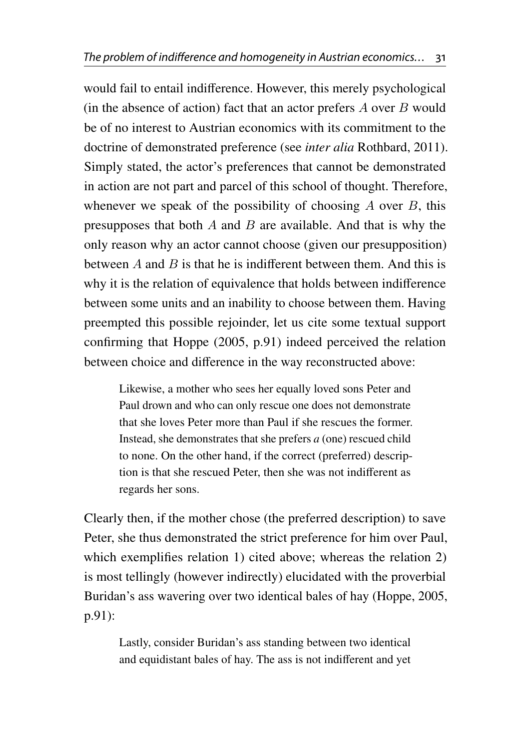would fail to entail indifference. However, this merely psychological (in the absence of action) fact that an actor prefers  $A$  over  $B$  would be of no interest to Austrian economics with its commitment to the doctrine of demonstrated preference (see *inter alia* Rothbard, [2011\)](#page-35-2). Simply stated, the actor's preferences that cannot be demonstrated in action are not part and parcel of this school of thought. Therefore, whenever we speak of the possibility of choosing  $A$  over  $B$ , this presupposes that both  $A$  and  $B$  are available. And that is why the only reason why an actor cannot choose (given our presupposition) between A and B is that he is indifferent between them. And this is why it is the relation of equivalence that holds between indifference between some units and an inability to choose between them. Having preempted this possible rejoinder, let us cite some textual support confirming that Hoppe [\(2005,](#page-35-3) p.91) indeed perceived the relation between choice and difference in the way reconstructed above:

Likewise, a mother who sees her equally loved sons Peter and Paul drown and who can only rescue one does not demonstrate that she loves Peter more than Paul if she rescues the former. Instead, she demonstrates that she prefers *a* (one) rescued child to none. On the other hand, if the correct (preferred) description is that she rescued Peter, then she was not indifferent as regards her sons.

Clearly then, if the mother chose (the preferred description) to save Peter, she thus demonstrated the strict preference for him over Paul, which exemplifies relation 1) cited above; whereas the relation 2) is most tellingly (however indirectly) elucidated with the proverbial Buridan's ass wavering over two identical bales of hay (Hoppe, [2005,](#page-35-3) p.91):

Lastly, consider Buridan's ass standing between two identical and equidistant bales of hay. The ass is not indifferent and yet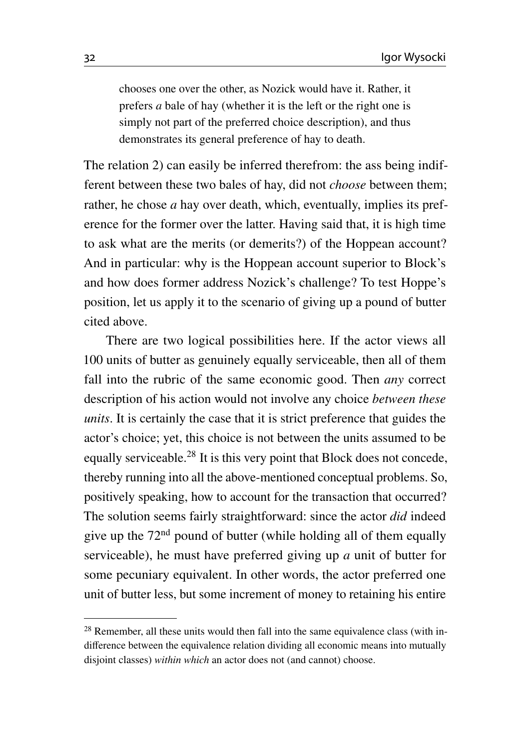chooses one over the other, as Nozick would have it. Rather, it prefers *a* bale of hay (whether it is the left or the right one is simply not part of the preferred choice description), and thus demonstrates its general preference of hay to death.

The relation 2) can easily be inferred therefrom: the ass being indifferent between these two bales of hay, did not *choose* between them; rather, he chose *a* hay over death, which, eventually, implies its preference for the former over the latter. Having said that, it is high time to ask what are the merits (or demerits?) of the Hoppean account? And in particular: why is the Hoppean account superior to Block's and how does former address Nozick's challenge? To test Hoppe's position, let us apply it to the scenario of giving up a pound of butter cited above.

There are two logical possibilities here. If the actor views all 100 units of butter as genuinely equally serviceable, then all of them fall into the rubric of the same economic good. Then *any* correct description of his action would not involve any choice *between these units*. It is certainly the case that it is strict preference that guides the actor's choice; yet, this choice is not between the units assumed to be equally serviceable.[28](#page-23-0) It is this very point that Block does not concede, thereby running into all the above-mentioned conceptual problems. So, positively speaking, how to account for the transaction that occurred? The solution seems fairly straightforward: since the actor *did* indeed give up the 72nd pound of butter (while holding all of them equally serviceable), he must have preferred giving up *a* unit of butter for some pecuniary equivalent. In other words, the actor preferred one unit of butter less, but some increment of money to retaining his entire

<span id="page-23-0"></span><sup>&</sup>lt;sup>28</sup> Remember, all these units would then fall into the same equivalence class (with indifference between the equivalence relation dividing all economic means into mutually disjoint classes) *within which* an actor does not (and cannot) choose.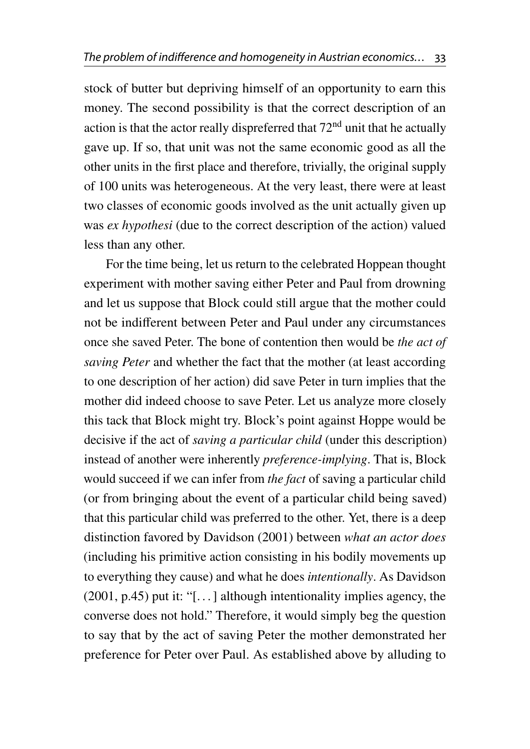stock of butter but depriving himself of an opportunity to earn this money. The second possibility is that the correct description of an action is that the actor really dispreferred that  $72<sup>nd</sup>$  unit that he actually gave up. If so, that unit was not the same economic good as all the other units in the first place and therefore, trivially, the original supply of 100 units was heterogeneous. At the very least, there were at least two classes of economic goods involved as the unit actually given up was *ex hypothesi* (due to the correct description of the action) valued less than any other.

For the time being, let us return to the celebrated Hoppean thought experiment with mother saving either Peter and Paul from drowning and let us suppose that Block could still argue that the mother could not be indifferent between Peter and Paul under any circumstances once she saved Peter. The bone of contention then would be *the act of saving Peter* and whether the fact that the mother (at least according to one description of her action) did save Peter in turn implies that the mother did indeed choose to save Peter. Let us analyze more closely this tack that Block might try. Block's point against Hoppe would be decisive if the act of *saving a particular child* (under this description) instead of another were inherently *preference-implying*. That is, Block would succeed if we can infer from *the fact* of saving a particular child (or from bringing about the event of a particular child being saved) that this particular child was preferred to the other. Yet, there is a deep distinction favored by Davidson [\(2001\)](#page-35-13) between *what an actor does* (including his primitive action consisting in his bodily movements up to everything they cause) and what he does *intentionally*. As Davidson [\(2001,](#page-35-13) p.45) put it: "[. . . ] although intentionality implies agency, the converse does not hold." Therefore, it would simply beg the question to say that by the act of saving Peter the mother demonstrated her preference for Peter over Paul. As established above by alluding to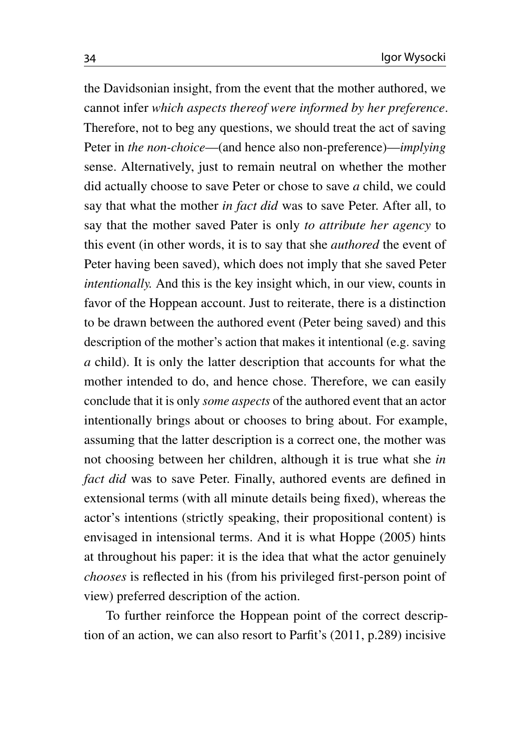the Davidsonian insight, from the event that the mother authored, we cannot infer *which aspects thereof were informed by her preference*. Therefore, not to beg any questions, we should treat the act of saving Peter in *the non-choice*—(and hence also non-preference)—*implying* sense. Alternatively, just to remain neutral on whether the mother did actually choose to save Peter or chose to save *a* child, we could say that what the mother *in fact did* was to save Peter. After all, to say that the mother saved Pater is only *to attribute her agency* to this event (in other words, it is to say that she *authored* the event of Peter having been saved), which does not imply that she saved Peter *intentionally.* And this is the key insight which, in our view, counts in favor of the Hoppean account. Just to reiterate, there is a distinction to be drawn between the authored event (Peter being saved) and this description of the mother's action that makes it intentional (e.g. saving *a* child). It is only the latter description that accounts for what the mother intended to do, and hence chose. Therefore, we can easily conclude that it is only *some aspects* of the authored event that an actor intentionally brings about or chooses to bring about. For example, assuming that the latter description is a correct one, the mother was not choosing between her children, although it is true what she *in fact did* was to save Peter. Finally, authored events are defined in extensional terms (with all minute details being fixed), whereas the actor's intentions (strictly speaking, their propositional content) is envisaged in intensional terms. And it is what Hoppe [\(2005\)](#page-35-3) hints at throughout his paper: it is the idea that what the actor genuinely *chooses* is reflected in his (from his privileged first-person point of view) preferred description of the action.

To further reinforce the Hoppean point of the correct description of an action, we can also resort to Parfit's [\(2011,](#page-35-14) p.289) incisive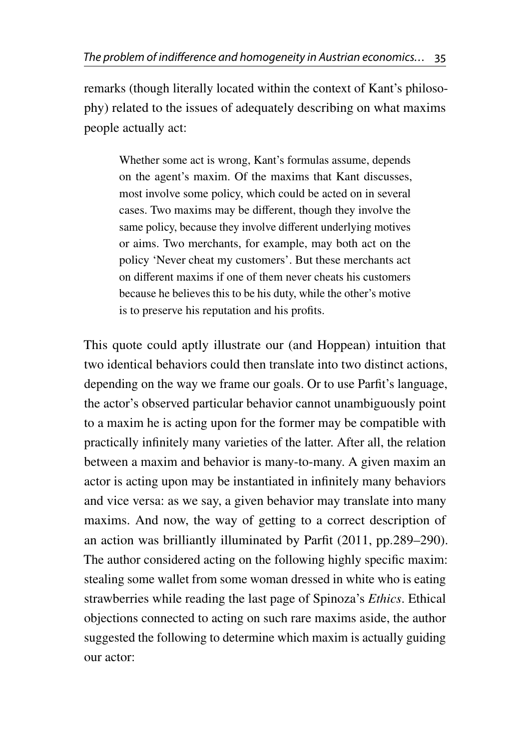remarks (though literally located within the context of Kant's philosophy) related to the issues of adequately describing on what maxims people actually act:

Whether some act is wrong, Kant's formulas assume, depends on the agent's maxim. Of the maxims that Kant discusses, most involve some policy, which could be acted on in several cases. Two maxims may be different, though they involve the same policy, because they involve different underlying motives or aims. Two merchants, for example, may both act on the policy 'Never cheat my customers'. But these merchants act on different maxims if one of them never cheats his customers because he believes this to be his duty, while the other's motive is to preserve his reputation and his profits.

This quote could aptly illustrate our (and Hoppean) intuition that two identical behaviors could then translate into two distinct actions, depending on the way we frame our goals. Or to use Parfit's language, the actor's observed particular behavior cannot unambiguously point to a maxim he is acting upon for the former may be compatible with practically infinitely many varieties of the latter. After all, the relation between a maxim and behavior is many-to-many. A given maxim an actor is acting upon may be instantiated in infinitely many behaviors and vice versa: as we say, a given behavior may translate into many maxims. And now, the way of getting to a correct description of an action was brilliantly illuminated by Parfit [\(2011,](#page-35-14) pp.289–290). The author considered acting on the following highly specific maxim: stealing some wallet from some woman dressed in white who is eating strawberries while reading the last page of Spinoza's *Ethics*. Ethical objections connected to acting on such rare maxims aside, the author suggested the following to determine which maxim is actually guiding our actor: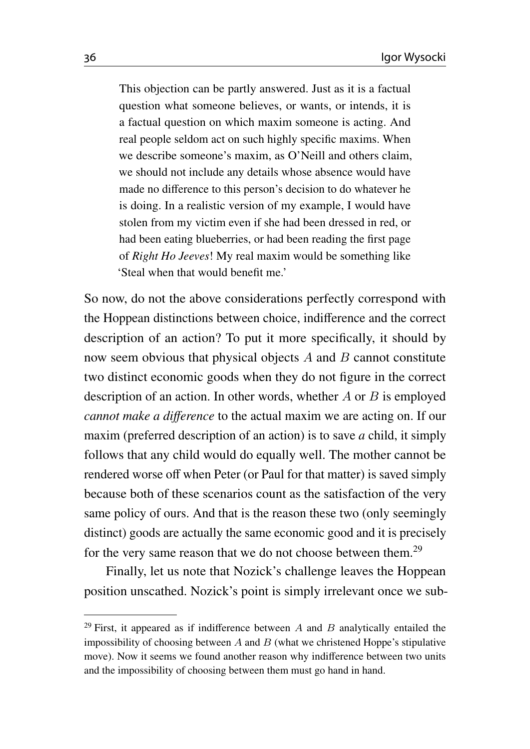This objection can be partly answered. Just as it is a factual question what someone believes, or wants, or intends, it is a factual question on which maxim someone is acting. And real people seldom act on such highly specific maxims. When we describe someone's maxim, as O'Neill and others claim, we should not include any details whose absence would have made no difference to this person's decision to do whatever he is doing. In a realistic version of my example, I would have stolen from my victim even if she had been dressed in red, or had been eating blueberries, or had been reading the first page of *Right Ho Jeeves*! My real maxim would be something like 'Steal when that would benefit me.'

So now, do not the above considerations perfectly correspond with the Hoppean distinctions between choice, indifference and the correct description of an action? To put it more specifically, it should by now seem obvious that physical objects  $A$  and  $B$  cannot constitute two distinct economic goods when they do not figure in the correct description of an action. In other words, whether  $A$  or  $B$  is employed *cannot make a di*ff*erence* to the actual maxim we are acting on. If our maxim (preferred description of an action) is to save *a* child, it simply follows that any child would do equally well. The mother cannot be rendered worse off when Peter (or Paul for that matter) is saved simply because both of these scenarios count as the satisfaction of the very same policy of ours. And that is the reason these two (only seemingly distinct) goods are actually the same economic good and it is precisely for the very same reason that we do not choose between them.[29](#page-27-0)

Finally, let us note that Nozick's challenge leaves the Hoppean position unscathed. Nozick's point is simply irrelevant once we sub-

<span id="page-27-0"></span> $29$  First, it appeared as if indifference between A and B analytically entailed the impossibility of choosing between  $A$  and  $B$  (what we christened Hoppe's stipulative move). Now it seems we found another reason why indifference between two units and the impossibility of choosing between them must go hand in hand.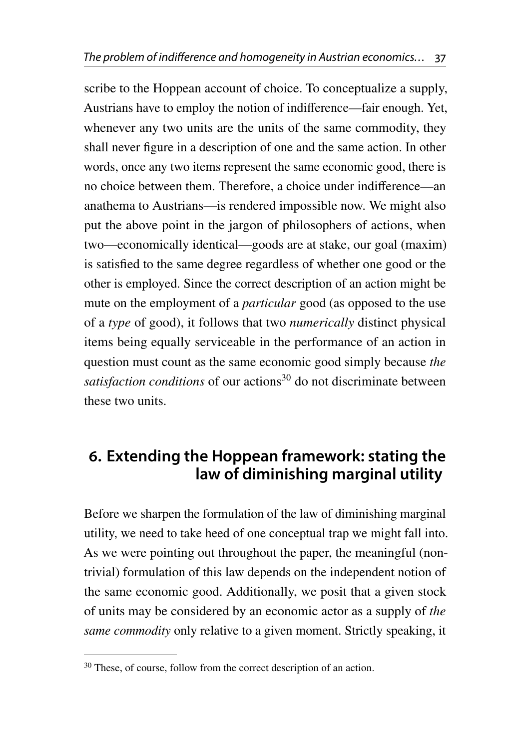scribe to the Hoppean account of choice. To conceptualize a supply, Austrians have to employ the notion of indifference—fair enough. Yet, whenever any two units are the units of the same commodity, they shall never figure in a description of one and the same action. In other words, once any two items represent the same economic good, there is no choice between them. Therefore, a choice under indifference—an anathema to Austrians—is rendered impossible now. We might also put the above point in the jargon of philosophers of actions, when two—economically identical—goods are at stake, our goal (maxim) is satisfied to the same degree regardless of whether one good or the other is employed. Since the correct description of an action might be mute on the employment of a *particular* good (as opposed to the use of a *type* of good), it follows that two *numerically* distinct physical items being equally serviceable in the performance of an action in question must count as the same economic good simply because *the satisfaction conditions* of our actions<sup>[30](#page-28-0)</sup> do not discriminate between these two units.

## **6. Extending the Hoppean framework: stating the law of diminishing marginal utility**

Before we sharpen the formulation of the law of diminishing marginal utility, we need to take heed of one conceptual trap we might fall into. As we were pointing out throughout the paper, the meaningful (nontrivial) formulation of this law depends on the independent notion of the same economic good. Additionally, we posit that a given stock of units may be considered by an economic actor as a supply of *the same commodity* only relative to a given moment. Strictly speaking, it

<span id="page-28-0"></span><sup>30</sup> These, of course, follow from the correct description of an action.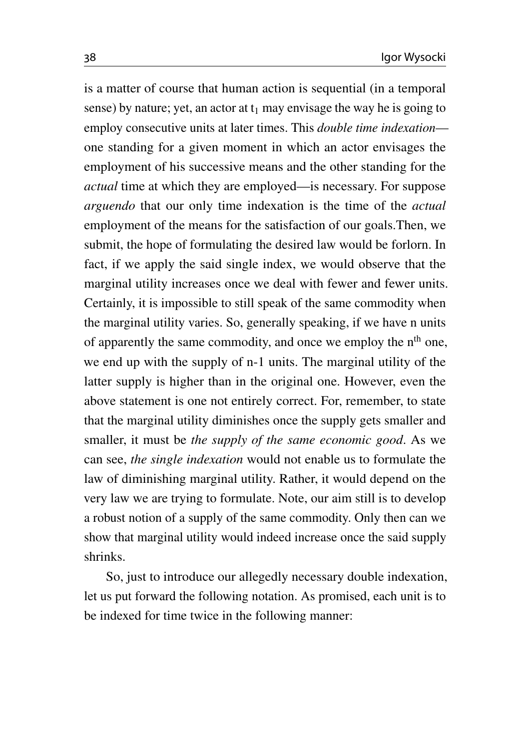is a matter of course that human action is sequential (in a temporal sense) by nature; yet, an actor at  $t_1$  may envisage the way he is going to employ consecutive units at later times. This *double time indexation* one standing for a given moment in which an actor envisages the employment of his successive means and the other standing for the *actual* time at which they are employed—is necessary. For suppose *arguendo* that our only time indexation is the time of the *actual* employment of the means for the satisfaction of our goals.Then, we submit, the hope of formulating the desired law would be forlorn. In fact, if we apply the said single index, we would observe that the marginal utility increases once we deal with fewer and fewer units. Certainly, it is impossible to still speak of the same commodity when the marginal utility varies. So, generally speaking, if we have n units of apparently the same commodity, and once we employ the n<sup>th</sup> one, we end up with the supply of n-1 units. The marginal utility of the latter supply is higher than in the original one. However, even the above statement is one not entirely correct. For, remember, to state that the marginal utility diminishes once the supply gets smaller and smaller, it must be *the supply of the same economic good*. As we can see, *the single indexation* would not enable us to formulate the law of diminishing marginal utility. Rather, it would depend on the very law we are trying to formulate. Note, our aim still is to develop a robust notion of a supply of the same commodity. Only then can we show that marginal utility would indeed increase once the said supply shrinks.

So, just to introduce our allegedly necessary double indexation, let us put forward the following notation. As promised, each unit is to be indexed for time twice in the following manner: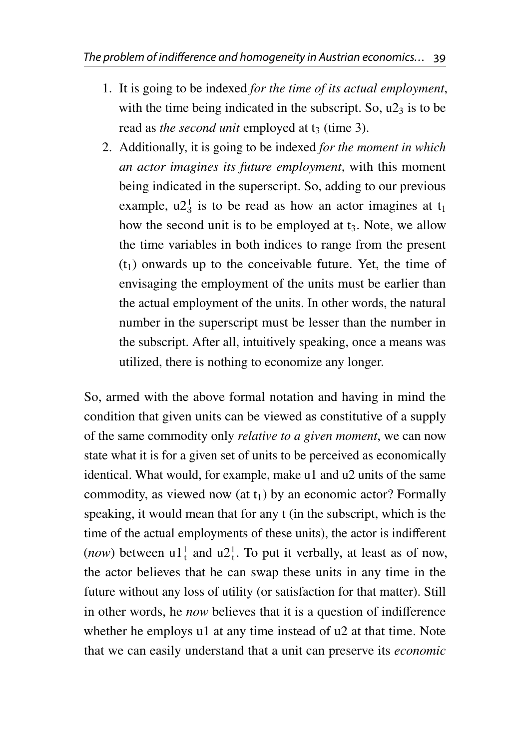- 1. It is going to be indexed *for the time of its actual employment*, with the time being indicated in the subscript. So,  $u2<sub>3</sub>$  is to be read as *the second unit* employed at t<sub>3</sub> (time 3).
- 2. Additionally, it is going to be indexed *for the moment in which an actor imagines its future employment*, with this moment being indicated in the superscript. So, adding to our previous example,  $u2_3^1$  is to be read as how an actor imagines at  $t_1$ how the second unit is to be employed at  $t_3$ . Note, we allow the time variables in both indices to range from the present  $(t<sub>1</sub>)$  onwards up to the conceivable future. Yet, the time of envisaging the employment of the units must be earlier than the actual employment of the units. In other words, the natural number in the superscript must be lesser than the number in the subscript. After all, intuitively speaking, once a means was utilized, there is nothing to economize any longer.

So, armed with the above formal notation and having in mind the condition that given units can be viewed as constitutive of a supply of the same commodity only *relative to a given moment*, we can now state what it is for a given set of units to be perceived as economically identical. What would, for example, make u1 and u2 units of the same commodity, as viewed now (at  $t_1$ ) by an economic actor? Formally speaking, it would mean that for any t (in the subscript, which is the time of the actual employments of these units), the actor is indifferent (*now*) between  $u1_t^1$  and  $u2_t^1$ . To put it verbally, at least as of now, the actor believes that he can swap these units in any time in the future without any loss of utility (or satisfaction for that matter). Still in other words, he *now* believes that it is a question of indifference whether he employs u1 at any time instead of u2 at that time. Note that we can easily understand that a unit can preserve its *economic*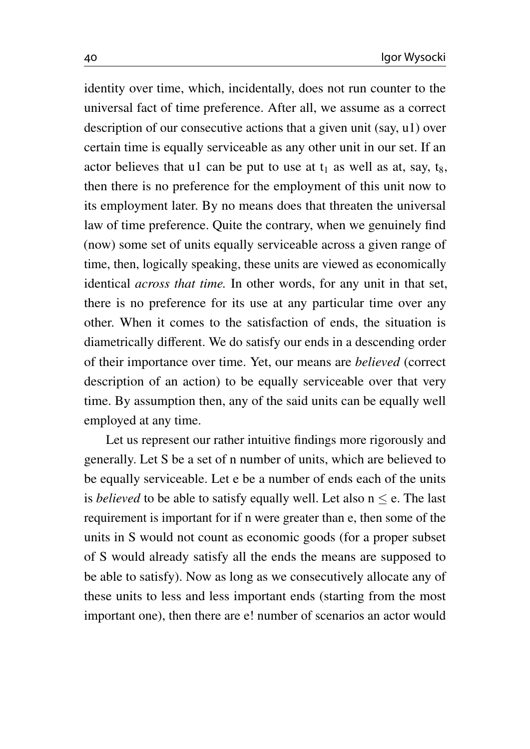identity over time, which, incidentally, does not run counter to the universal fact of time preference. After all, we assume as a correct description of our consecutive actions that a given unit (say, u1) over certain time is equally serviceable as any other unit in our set. If an actor believes that u1 can be put to use at  $t_1$  as well as at, say,  $t_8$ , then there is no preference for the employment of this unit now to its employment later. By no means does that threaten the universal law of time preference. Quite the contrary, when we genuinely find (now) some set of units equally serviceable across a given range of time, then, logically speaking, these units are viewed as economically identical *across that time.* In other words, for any unit in that set, there is no preference for its use at any particular time over any other. When it comes to the satisfaction of ends, the situation is diametrically different. We do satisfy our ends in a descending order of their importance over time. Yet, our means are *believed* (correct description of an action) to be equally serviceable over that very time. By assumption then, any of the said units can be equally well employed at any time.

Let us represent our rather intuitive findings more rigorously and generally. Let S be a set of n number of units, which are believed to be equally serviceable. Let e be a number of ends each of the units is *believed* to be able to satisfy equally well. Let also  $n \le e$ . The last requirement is important for if n were greater than e, then some of the units in S would not count as economic goods (for a proper subset of S would already satisfy all the ends the means are supposed to be able to satisfy). Now as long as we consecutively allocate any of these units to less and less important ends (starting from the most important one), then there are e! number of scenarios an actor would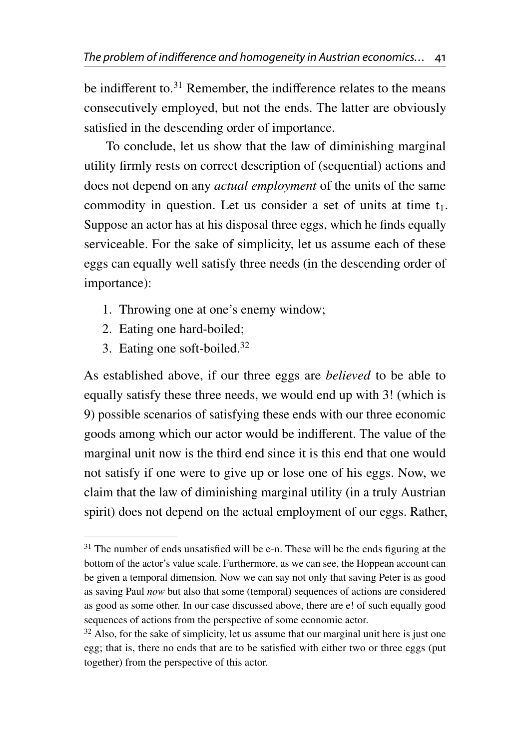be indifferent to.<sup>[31](#page-32-0)</sup> Remember, the indifference relates to the means consecutively employed, but not the ends. The latter are obviously satisfied in the descending order of importance.

To conclude, let us show that the law of diminishing marginal utility firmly rests on correct description of (sequential) actions and does not depend on any *actual employment* of the units of the same commodity in question. Let us consider a set of units at time  $t_1$ . Suppose an actor has at his disposal three eggs, which he finds equally serviceable. For the sake of simplicity, let us assume each of these eggs can equally well satisfy three needs (in the descending order of importance):

- 1. Throwing one at one's enemy window;
- 2. Eating one hard-boiled;
- 3. Eating one soft-boiled.[32](#page-32-1)

As established above, if our three eggs are *believed* to be able to equally satisfy these three needs, we would end up with 3! (which is 9) possible scenarios of satisfying these ends with our three economic goods among which our actor would be indifferent. The value of the marginal unit now is the third end since it is this end that one would not satisfy if one were to give up or lose one of his eggs. Now, we claim that the law of diminishing marginal utility (in a truly Austrian spirit) does not depend on the actual employment of our eggs. Rather,

<span id="page-32-0"></span><sup>&</sup>lt;sup>31</sup> The number of ends unsatisfied will be e-n. These will be the ends figuring at the bottom of the actor's value scale. Furthermore, as we can see, the Hoppean account can be given a temporal dimension. Now we can say not only that saving Peter is as good as saving Paul *now* but also that some (temporal) sequences of actions are considered as good as some other. In our case discussed above, there are e! of such equally good sequences of actions from the perspective of some economic actor.

<span id="page-32-1"></span> $32$  Also, for the sake of simplicity, let us assume that our marginal unit here is just one egg; that is, there no ends that are to be satisfied with either two or three eggs (put together) from the perspective of this actor.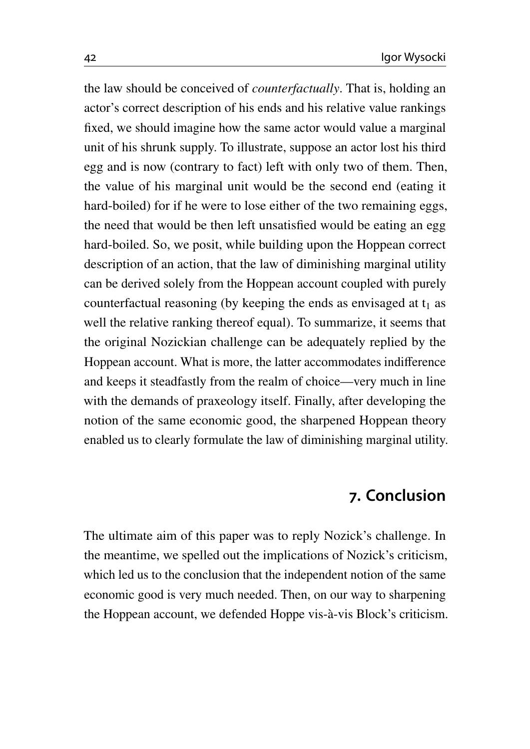the law should be conceived of *counterfactually*. That is, holding an actor's correct description of his ends and his relative value rankings fixed, we should imagine how the same actor would value a marginal unit of his shrunk supply. To illustrate, suppose an actor lost his third egg and is now (contrary to fact) left with only two of them. Then, the value of his marginal unit would be the second end (eating it hard-boiled) for if he were to lose either of the two remaining eggs, the need that would be then left unsatisfied would be eating an egg hard-boiled. So, we posit, while building upon the Hoppean correct description of an action, that the law of diminishing marginal utility can be derived solely from the Hoppean account coupled with purely counterfactual reasoning (by keeping the ends as envisaged at  $t_1$  as well the relative ranking thereof equal). To summarize, it seems that the original Nozickian challenge can be adequately replied by the Hoppean account. What is more, the latter accommodates indifference and keeps it steadfastly from the realm of choice—very much in line with the demands of praxeology itself. Finally, after developing the notion of the same economic good, the sharpened Hoppean theory enabled us to clearly formulate the law of diminishing marginal utility.

## **7. Conclusion**

The ultimate aim of this paper was to reply Nozick's challenge. In the meantime, we spelled out the implications of Nozick's criticism, which led us to the conclusion that the independent notion of the same economic good is very much needed. Then, on our way to sharpening the Hoppean account, we defended Hoppe vis-à-vis Block's criticism.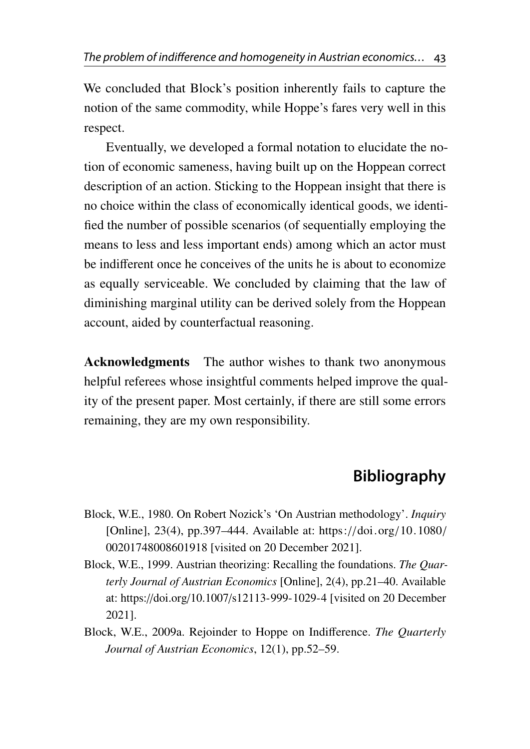We concluded that Block's position inherently fails to capture the notion of the same commodity, while Hoppe's fares very well in this respect.

Eventually, we developed a formal notation to elucidate the notion of economic sameness, having built up on the Hoppean correct description of an action. Sticking to the Hoppean insight that there is no choice within the class of economically identical goods, we identified the number of possible scenarios (of sequentially employing the means to less and less important ends) among which an actor must be indifferent once he conceives of the units he is about to economize as equally serviceable. We concluded by claiming that the law of diminishing marginal utility can be derived solely from the Hoppean account, aided by counterfactual reasoning.

Acknowledgments The author wishes to thank two anonymous helpful referees whose insightful comments helped improve the quality of the present paper. Most certainly, if there are still some errors remaining, they are my own responsibility.

# **Bibliography**

- <span id="page-34-1"></span>Block, W.E., 1980. On Robert Nozick's 'On Austrian methodology'. *Inquiry* [Online], 23(4), pp.397–444. Available at: https://doi.org/[10.1080](https://doi.org/10.1080/00201748008601918)/ [00201748008601918](https://doi.org/10.1080/00201748008601918) [visited on 20 December 2021].
- <span id="page-34-0"></span>Block, W.E., 1999. Austrian theorizing: Recalling the foundations. *The Quarterly Journal of Austrian Economics* [Online], 2(4), pp.21–40. Available at: https://doi.org/10.1007/[s12113-999-1029-4](https://doi.org/10.1007/s12113-999-1029-4) [visited on 20 December 2021].
- <span id="page-34-2"></span>Block, W.E., 2009a. Rejoinder to Hoppe on Indifference. *The Quarterly Journal of Austrian Economics*, 12(1), pp.52–59.